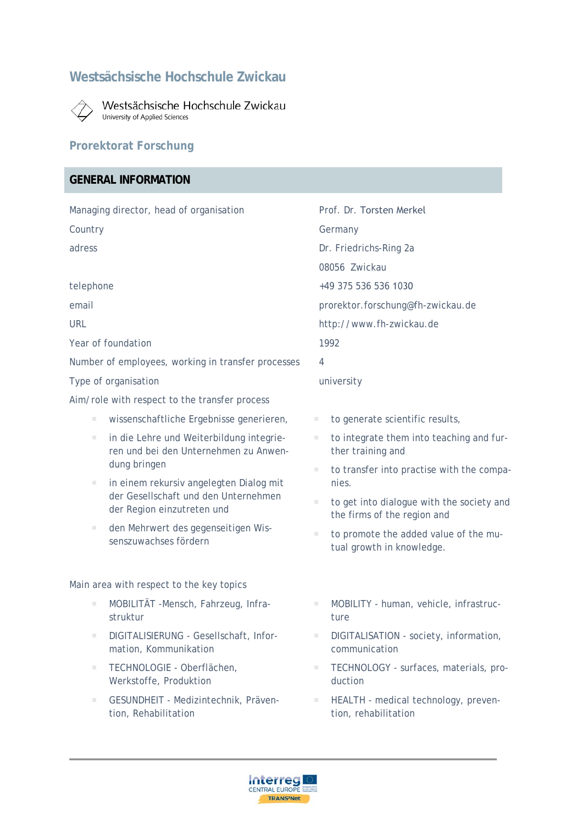# **Westsächsische Hochschule Zwickau**



Westsächsische Hochschule Zwickau University of Applied Sciences

## **Prorektorat Forschung**

## **GENERAL INFORMATION**

|                                                    |                                                                                                               |                                   | Prof. Dr. Torsten Merkel                                                 |  |
|----------------------------------------------------|---------------------------------------------------------------------------------------------------------------|-----------------------------------|--------------------------------------------------------------------------|--|
| Managing director, head of organisation            |                                                                                                               |                                   |                                                                          |  |
| Country                                            |                                                                                                               | Germany                           |                                                                          |  |
| adress                                             |                                                                                                               | Dr. Friedrichs-Ring 2a            |                                                                          |  |
|                                                    |                                                                                                               |                                   | 08056 Zwickau                                                            |  |
| telephone                                          |                                                                                                               |                                   | +49 375 536 536 1030                                                     |  |
| email                                              |                                                                                                               | prorektor.forschung@fh-zwickau.de |                                                                          |  |
| <b>URL</b>                                         |                                                                                                               | http://www.fh-zwickau.de          |                                                                          |  |
| Year of foundation                                 |                                                                                                               | 1992                              |                                                                          |  |
| Number of employees, working in transfer processes |                                                                                                               |                                   | 4                                                                        |  |
| Type of organisation                               |                                                                                                               | university                        |                                                                          |  |
| Aim/role with respect to the transfer process      |                                                                                                               |                                   |                                                                          |  |
| $\blacksquare$                                     | wissenschaftliche Ergebnisse generieren,                                                                      |                                   | to generate scientific results,                                          |  |
| $\blacksquare$                                     | in die Lehre und Weiterbildung integrie-<br>ren und bei den Unternehmen zu Anwen-                             | $\blacksquare$                    | to integrate them into teaching and fur-<br>ther training and            |  |
|                                                    | dung bringen                                                                                                  | П                                 | to transfer into practise with the compa-                                |  |
|                                                    | in einem rekursiv angelegten Dialog mit<br>der Gesellschaft und den Unternehmen<br>der Region einzutreten und |                                   | nies.                                                                    |  |
|                                                    |                                                                                                               | $\blacksquare$                    | to get into dialogue with the society and<br>the firms of the region and |  |
| $\blacksquare$                                     | den Mehrwert des gegenseitigen Wis-                                                                           | $\blacksquare$                    | to promote the added value of the mu-                                    |  |
|                                                    | senszuwachses fördern                                                                                         |                                   | tual growth in knowledge.                                                |  |
|                                                    |                                                                                                               |                                   |                                                                          |  |
| Main area with respect to the key topics           |                                                                                                               |                                   |                                                                          |  |
| $\mathcal{L}_{\mathcal{A}}$                        | MOBILITÄT -Mensch, Fahrzeug, Infra-<br>struktur                                                               | $\blacksquare$                    | MOBILITY - human, vehicle, infrastruc-<br>ture                           |  |
|                                                    | DIGITALISIERUNG - Gesellschaft, Infor-<br>mation, Kommunikation                                               |                                   | DIGITALISATION - society, information,<br>communication                  |  |
| п                                                  | TECHNOLOGIE - Oberflächen,<br>Werkstoffe, Produktion                                                          | $\blacksquare$                    | TECHNOLOGY - surfaces, materials, pro-<br>duction                        |  |
| П                                                  | GESUNDHEIT - Medizintechnik, Präven-<br>tion, Rehabilitation                                                  |                                   | HEALTH - medical technology, preven-<br>tion, rehabilitation             |  |
|                                                    |                                                                                                               |                                   |                                                                          |  |

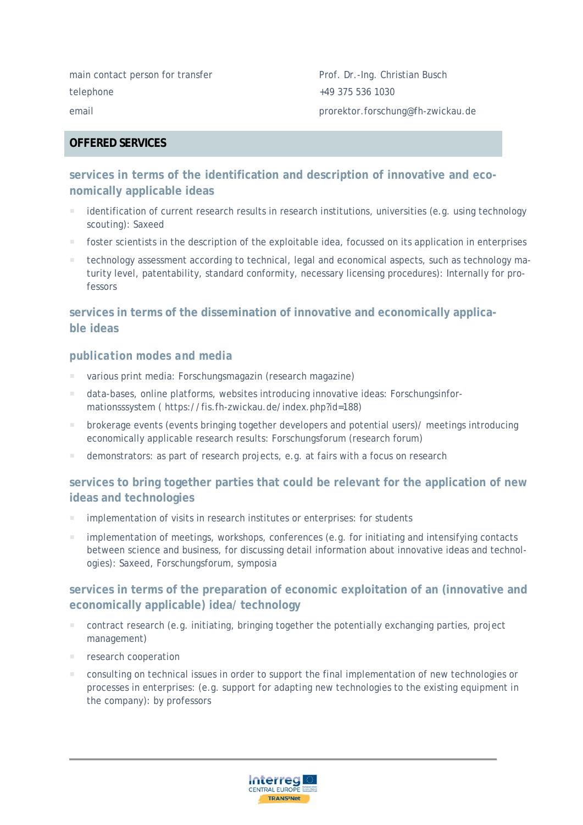main contact person for transfer Prof. Dr.-Ing. Christian Busch telephone +49 375 536 1030 email prorektor.forschung@fh-zwickau.de

#### **OFFERED SERVICES**

## **services in terms of the identification and description of innovative and economically applicable ideas**

- identification of current research results in research institutions, universities (e.g. using technology scouting): Saxeed
- foster scientists in the description of the exploitable idea, focussed on its application in enterprises
- technology assessment according to technical, legal and economical aspects, such as technology maturity level, patentability, standard conformity, necessary licensing procedures): Internally for professors

### **services in terms of the dissemination of innovative and economically applicable ideas**

#### *publication modes and media*

- various print media: Forschungsmagazin (research magazine)
- data-bases, online platforms, websites introducing innovative ideas: Forschungsinformationsssystem ( https://fis.fh-zwickau.de/index.php?id=188)
- brokerage events (events bringing together developers and potential users)/ meetings introducing economically applicable research results: Forschungsforum (research forum)
- demonstrators: as part of research projects, e.g. at fairs with a focus on research

### **services to bring together parties that could be relevant for the application of new ideas and technologies**

- implementation of visits in research institutes or enterprises: for students
- **implementation of meetings, workshops, conferences (e.g. for initiating and intensifying contacts** between science and business, for discussing detail information about innovative ideas and technologies): Saxeed, Forschungsforum, symposia

### **services in terms of the preparation of economic exploitation of an (innovative and economically applicable) idea/ technology**

- contract research (e.g. initiating, bringing together the potentially exchanging parties, project management)
- research cooperation
- consulting on technical issues in order to support the final implementation of new technologies or processes in enterprises: (e.g. support for adapting new technologies to the existing equipment in the company): by professors

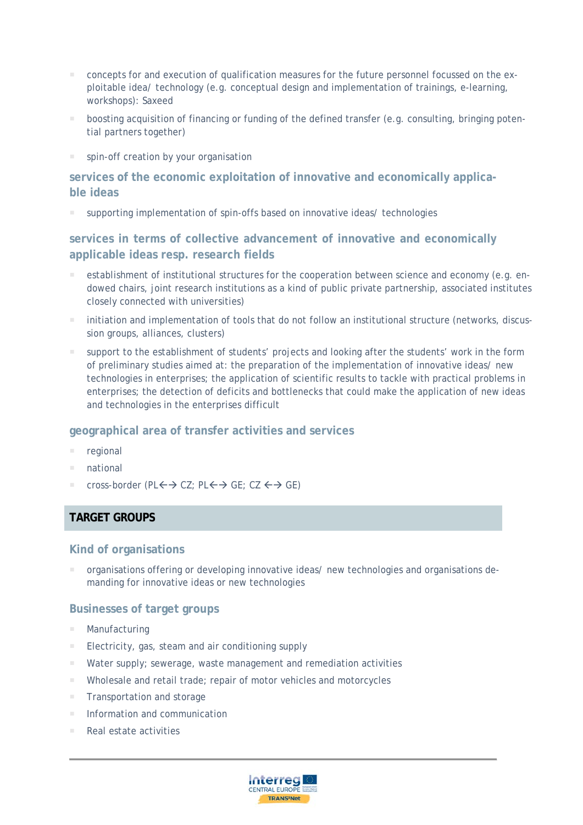- concepts for and execution of qualification measures for the future personnel focussed on the exploitable idea/ technology (e.g. conceptual design and implementation of trainings, e-learning, workshops): Saxeed
- boosting acquisition of financing or funding of the defined transfer (e.g. consulting, bringing potential partners together)
- spin-off creation by your organisation

### **services of the economic exploitation of innovative and economically applicable ideas**

supporting implementation of spin-offs based on innovative ideas/ technologies

**services in terms of collective advancement of innovative and economically applicable ideas resp. research fields** 

- establishment of institutional structures for the cooperation between science and economy (e.g. endowed chairs, joint research institutions as a kind of public private partnership, associated institutes closely connected with universities)
- initiation and implementation of tools that do not follow an institutional structure (networks, discussion groups, alliances, clusters)
- support to the establishment of students' projects and looking after the students' work in the form of preliminary studies aimed at: the preparation of the implementation of innovative ideas/ new technologies in enterprises; the application of scientific results to tackle with practical problems in enterprises; the detection of deficits and bottlenecks that could make the application of new ideas and technologies in the enterprises difficult

#### **geographical area of transfer activities and services**

- regional
- national
- cross-border (PL $\leftrightarrow$  CZ; PL $\leftrightarrow$  GE; CZ $\leftrightarrow$  GE)

#### **TARGET GROUPS**

#### **Kind of organisations**

 organisations offering or developing innovative ideas/ new technologies and organisations demanding for innovative ideas or new technologies

#### **Businesses of target groups**

- **Manufacturing**
- **Electricity, gas, steam and air conditioning supply**
- **Water supply; sewerage, waste management and remediation activities**
- **Wholesale and retail trade; repair of motor vehicles and motorcycles**
- Transportation and storage
- $\blacksquare$  Information and communication
- Real estate activities